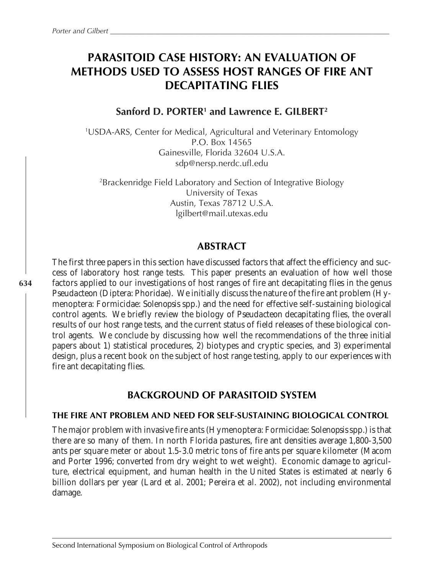# **PARASITOID CASE HISTORY: AN EVALUATION OF METHODS USED TO ASSESS HOST RANGES OF FIRE ANT DECAPITATING FLIES**

### **Sanford D. PORTER1 and Lawrence E. GILBERT2**

1 USDA-ARS, Center for Medical, Agricultural and Veterinary Entomology P.O. Box 14565 Gainesville, Florida 32604 U.S.A. sdp@nersp.nerdc.ufl.edu

2 Brackenridge Field Laboratory and Section of Integrative Biology University of Texas Austin, Texas 78712 U.S.A. lgilbert@mail.utexas.edu

### **ABSTRACT**

The first three papers in this section have discussed factors that affect the efficiency and success of laboratory host range tests. This paper presents an evaluation of how well those factors applied to our investigations of host ranges of fire ant decapitating flies in the genus *Pseudacteon* (Diptera: Phoridae). We initially discuss the nature of the fire ant problem (Hymenoptera: Formicidae: *Solenopsis* spp.) and the need for effective self-sustaining biological control agents. We briefly review the biology of *Pseudacteon* decapitating flies, the overall results of our host range tests, and the current status of field releases of these biological control agents. We conclude by discussing how well the recommendations of the three initial papers about 1) statistical procedures, 2) biotypes and cryptic species, and 3) experimental design, plus a recent book on the subject of host range testing, apply to our experiences with fire ant decapitating flies.

### **BACKGROUND OF PARASITOID SYSTEM**

### **THE FIRE ANT PROBLEM AND NEED FOR SELF-SUSTAINING BIOLOGICAL CONTROL**

The major problem with invasive fire ants (Hymenoptera: Formicidae: *Solenopsis* spp.) is that there are so many of them. In north Florida pastures, fire ant densities average 1,800-3,500 ants per square meter or about 1.5-3.0 metric tons of fire ants per square kilometer (Macom and Porter 1996; converted from dry weight to wet weight). Economic damage to agriculture, electrical equipment, and human health in the United States is estimated at nearly 6 billion dollars per year (Lard *et al.* 2001; Pereira *et al.* 2002), not including environmental damage.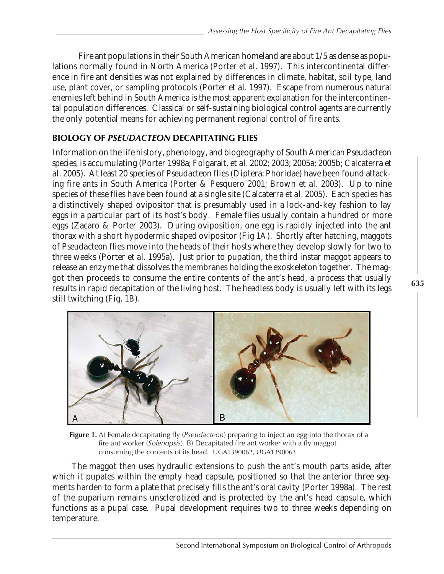Fire ant populations in their South American homeland are about 1/5 as dense as populations normally found in North America (Porter *et al.* 1997). This intercontinental difference in fire ant densities was not explained by differences in climate, habitat, soil type, land use, plant cover, or sampling protocols (Porter *et al.* 1997). Escape from numerous natural enemies left behind in South America is the most apparent explanation for the intercontinental population differences. Classical or self-sustaining biological control agents are currently the only potential means for achieving permanent regional control of fire ants.

### **BIOLOGY OF** *PSEUDACTEON* **DECAPITATING FLIES**

Information on the life history, phenology, and biogeography of South American *Pseudacteon species*, is accumulating (Porter 1998a; Folgarait, *et al.* 2002; 2003; 2005a; 2005b; Calcaterra *et al.* 2005). At least 20 species of *Pseudacteon* flies (Diptera: Phoridae) have been found attacking fire ants in South America (Porter & Pesquero 2001; Brown *et al.* 2003). Up to nine species of these flies have been found at a single site (Calcaterra *et al.* 2005). Each species has a distinctively shaped ovipositor that is presumably used in a lock-and-key fashion to lay eggs in a particular part of its host's body. Female flies usually contain a hundred or more eggs (Zacaro & Porter 2003). During oviposition, one egg is rapidly injected into the ant thorax with a short hypodermic shaped ovipositor (Fig 1A). Shortly after hatching, maggots of *Pseudacteon* flies move into the heads of their hosts where they develop slowly for two to three weeks (Porter *et al.* 1995a). Just prior to pupation, the third instar maggot appears to release an enzyme that dissolves the membranes holding the exoskeleton together. The maggot then proceeds to consume the entire contents of the ant's head, a process that usually results in rapid decapitation of the living host. The headless body is usually left with its legs still twitching (Fig. 1B).



**Figure 1.** A) Female decapitating fly (*Pseudacteon*) preparing to inject an egg into the thorax of a fire ant worker (*Solenopsis*). B) Decapitated fire ant worker with a fly maggot consuming the contents of its head. UGA1390062, UGA1390063

The maggot then uses hydraulic extensions to push the ant's mouth parts aside, after which it pupates within the empty head capsule, positioned so that the anterior three segments harden to form a plate that precisely fills the ant's oral cavity (Porter 1998a). The rest of the puparium remains unsclerotized and is protected by the ant's head capsule, which functions as a pupal case. Pupal development requires two to three weeks depending on temperature.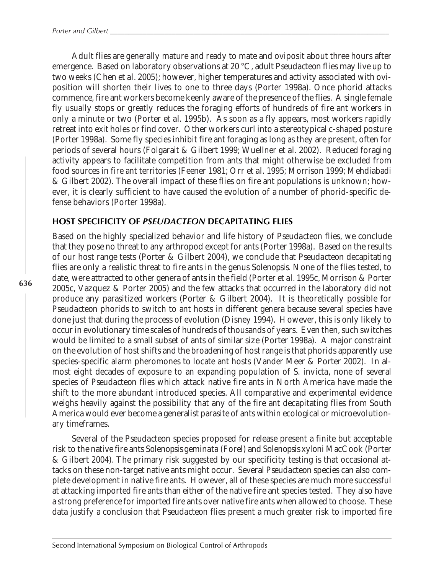Adult flies are generally mature and ready to mate and oviposit about three hours after emergence. Based on laboratory observations at 20 °C, adult *Pseudacteon* flies may live up to two weeks (Chen *et al.* 2005); however, higher temperatures and activity associated with oviposition will shorten their lives to one to three days (Porter 1998a). Once phorid attacks commence, fire ant workers become keenly aware of the presence of the flies. A single female fly usually stops or greatly reduces the foraging efforts of hundreds of fire ant workers in only a minute or two (Porter *et al.* 1995b). As soon as a fly appears, most workers rapidly retreat into exit holes or find cover. Other workers curl into a stereotypical c-shaped posture (Porter 1998a). Some fly species inhibit fire ant foraging as long as they are present, often for periods of several hours (Folgarait & Gilbert 1999; Wuellner *et al.* 2002). Reduced foraging activity appears to facilitate competition from ants that might otherwise be excluded from food sources in fire ant territories (Feener 1981; Orr *et al.* 1995; Morrison 1999; Mehdiabadi & Gilbert 2002). The overall impact of these flies on fire ant populations is unknown; however, it is clearly sufficient to have caused the evolution of a number of phorid-specific defense behaviors (Porter 1998a).

### **HOST SPECIFICITY OF** *PSEUDACTEON* **DECAPITATING FLIES**

Based on the highly specialized behavior and life history of *Pseudacteon* flies, we conclude that they pose no threat to any arthropod except for ants (Porter 1998a). Based on the results of our host range tests (Porter & Gilbert 2004), we conclude that *Pseudacteon* decapitating flies are only a realistic threat to fire ants in the genus *Solenopsis*. None of the flies tested, to date, were attracted to other genera of ants in the field (Porter *et al.* 1995c, Morrison & Porter 2005c, Vazquez & Porter 2005) and the few attacks that occurred in the laboratory did not produce any parasitized workers (Porter & Gilbert 2004). It is theoretically possible for *Pseudacteon* phorids to switch to ant hosts in different genera because several species have done just that during the process of evolution (Disney 1994). However, this is only likely to occur in evolutionary time scales of hundreds of thousands of years. Even then, such switches would be limited to a small subset of ants of similar size (Porter 1998a). A major constraint on the evolution of host shifts and the broadening of host range is that phorids apparently use species-specific alarm pheromones to locate ant hosts (Vander Meer & Porter 2002). In almost eight decades of exposure to an expanding population of *S. invicta,* none of several species of *Pseudacteon* flies which attack native fire ants in North America have made the shift to the more abundant introduced species. All comparative and experimental evidence weighs heavily against the possibility that any of the fire ant decapitating flies from South America would ever become a generalist parasite of ants within ecological or microevolutionary timeframes.

Several of the *Pseudacteon* species proposed for release present a finite but acceptable risk to the native fire ants *Solenopsis geminata* (Forel) and *Solenopsis xyloni* MacCook (Porter & Gilbert 2004). The primary risk suggested by our specificity testing is that occasional attacks on these non-target native ants might occur. Several *Pseudacteon* species can also complete development in native fire ants. However, all of these species are much more successful at attacking imported fire ants than either of the native fire ant species tested. They also have a strong preference for imported fire ants over native fire ants when allowed to choose. These data justify a conclusion that *Pseudacteon* flies present a much greater risk to imported fire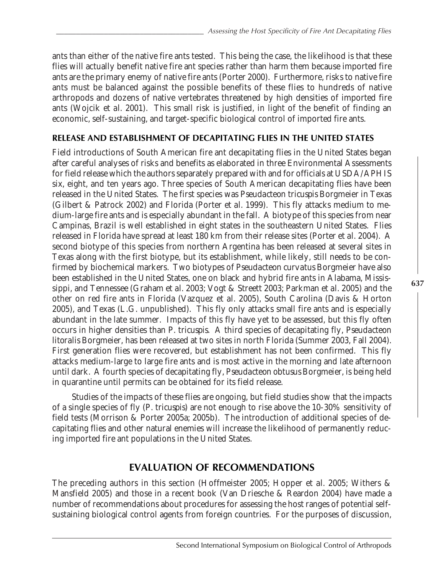ants than either of the native fire ants tested. This being the case, the likelihood is that these flies will actually benefit native fire ant species rather than harm them because imported fire ants are the primary enemy of native fire ants (Porter 2000). Furthermore, risks to native fire ants must be balanced against the possible benefits of these flies to hundreds of native arthropods and dozens of native vertebrates threatened by high densities of imported fire ants (Wojcik *et al.* 2001). This small risk is justified, in light of the benefit of finding an economic, self-sustaining, and target-specific biological control of imported fire ants.

### **RELEASE AND ESTABLISHMENT OF DECAPITATING FLIES IN THE UNITED STATES**

Field introductions of South American fire ant decapitating flies in the United States began after careful analyses of risks and benefits as elaborated in three Environmental Assessments for field release which the authors separately prepared with and for officials at USDA/APHIS six, eight, and ten years ago. Three species of South American decapitating flies have been released in the United States. The first species was *Pseudacteon tricuspis* Borgmeier in Texas (Gilbert & Patrock 2002) and Florida (Porter *et al.* 1999). This fly attacks medium to medium-large fire ants and is especially abundant in the fall. A biotype of this species from near Campinas, Brazil is well established in eight states in the southeastern United States. Flies released in Florida have spread at least 180 km from their release sites (Porter *et al.* 2004). A second biotype of this species from northern Argentina has been released at several sites in Texas along with the first biotype, but its establishment, while likely, still needs to be confirmed by biochemical markers. Two biotypes of *Pseudacteon curvatus* Borgmeier have also been established in the United States, one on black and hybrid fire ants in Alabama, Mississippi, and Tennessee (Graham *et al.* 2003; Vogt & Streett 2003; Parkman *et al.* 2005) and the other on red fire ants in Florida (Vazquez *et al.* 2005), South Carolina (Davis & Horton 2005), and Texas (L.G. unpublished). This fly only attacks small fire ants and is especially abundant in the late summer. Impacts of this fly have yet to be assessed, but this fly often occurs in higher densities than *P. tricuspis*. A third species of decapitating fly, *Pseudacteon litoralis* Borgmeier, has been released at two sites in north Florida (Summer 2003, Fall 2004). First generation flies were recovered, but establishment has not been confirmed. This fly attacks medium-large to large fire ants and is most active in the morning and late afternoon until dark. A fourth species of decapitating fly, *Pseudacteon obtusus* Borgmeier, is being held in quarantine until permits can be obtained for its field release.

Studies of the impacts of these flies are ongoing, but field studies show that the impacts of a single species of fly (*P. tricuspis*) are not enough to rise above the 10-30% sensitivity of field tests (Morrison & Porter 2005a; 2005b). The introduction of additional species of decapitating flies and other natural enemies will increase the likelihood of permanently reducing imported fire ant populations in the United States.

### **EVALUATION OF RECOMMENDATIONS**

The preceding authors in this section (Hoffmeister 2005; Hopper *et al.* 2005; Withers & Mansfield 2005) and those in a recent book (Van Driesche & Reardon 2004) have made a number of recommendations about procedures for assessing the host ranges of potential selfsustaining biological control agents from foreign countries. For the purposes of discussion,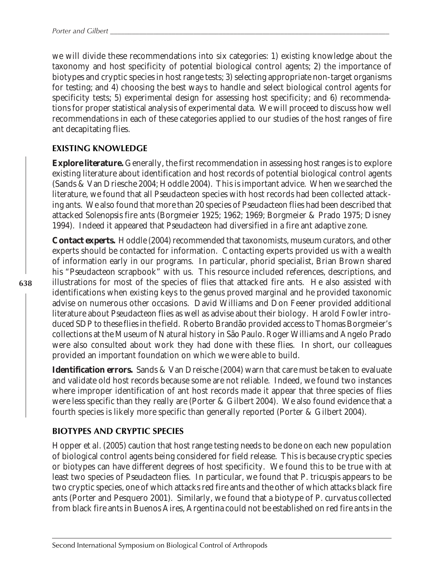we will divide these recommendations into six categories: 1) existing knowledge about the taxonomy and host specificity of potential biological control agents; 2) the importance of biotypes and cryptic species in host range tests; 3) selecting appropriate non-target organisms for testing; and 4) choosing the best ways to handle and select biological control agents for specificity tests; 5) experimental design for assessing host specificity; and 6) recommendations for proper statistical analysis of experimental data. We will proceed to discuss how well recommendations in each of these categories applied to our studies of the host ranges of fire ant decapitating flies.

### **EXISTING KNOWLEDGE**

**Explore literature.** Generally, the first recommendation in assessing host ranges is to explore existing literature about identification and host records of potential biological control agents (Sands & Van Driesche 2004; Hoddle 2004). This is important advice. When we searched the literature, we found that all *Pseudacteon* species with host records had been collected attacking ants. We also found that more than 20 species of *Pseudacteon* flies had been described that attacked *Solenopsis* fire ants (Borgmeier 1925; 1962; 1969; Borgmeier & Prado 1975; Disney 1994). Indeed it appeared that *Pseudacteon* had diversified in a fire ant adaptive zone.

**Contact experts.** Hoddle (2004) recommended that taxonomists, museum curators, and other experts should be contacted for information. Contacting experts provided us with a wealth of information early in our programs. In particular, phorid specialist, Brian Brown shared his "*Pseudacteon* scrapbook" with us. This resource included references, descriptions, and illustrations for most of the species of flies that attacked fire ants. He also assisted with identifications when existing keys to the genus proved marginal and he provided taxonomic advise on numerous other occasions. David Williams and Don Feener provided additional literature about *Pseudacteon* flies as well as advise about their biology. Harold Fowler introduced SDP to these flies in the field. Roberto Brandão provided access to Thomas Borgmeier's collections at the Museum of Natural history in São Paulo. Roger Williams and Angelo Prado were also consulted about work they had done with these flies. In short, our colleagues provided an important foundation on which we were able to build.

**Identification errors.** Sands & Van Dreische (2004) warn that care must be taken to evaluate and validate old host records because some are not reliable. Indeed, we found two instances where improper identification of ant host records made it appear that three species of flies were less specific than they really are (Porter & Gilbert 2004). We also found evidence that a fourth species is likely more specific than generally reported (Porter & Gilbert 2004).

### **BIOTYPES AND CRYPTIC SPECIES**

Hopper *et al.* (2005) caution that host range testing needs to be done on each new population of biological control agents being considered for field release. This is because cryptic species or biotypes can have different degrees of host specificity. We found this to be true with at least two species of *Pseudacteon* flies. In particular, we found that *P. tricuspis* appears to be two cryptic species, one of which attacks red fire ants and the other of which attacks black fire ants (Porter and Pesquero 2001). Similarly, we found that a biotype of *P. curvatus* collected from black fire ants in Buenos Aires, Argentina could not be established on red fire ants in the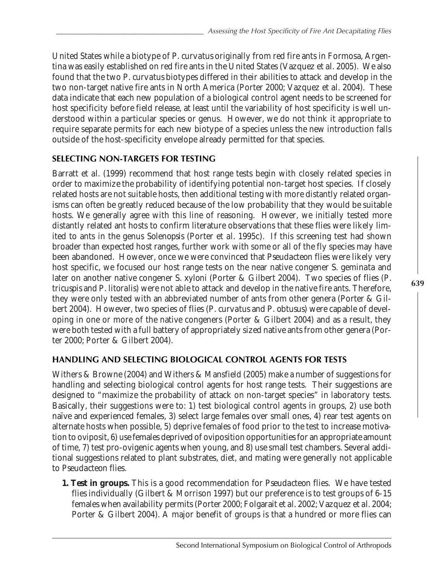United States while a biotype of *P. curvatus* originally from red fire ants in Formosa, Argentina was easily established on red fire ants in the United States (Vazquez *et al.* 2005). We also found that the two *P. curvatus* biotypes differed in their abilities to attack and develop in the two non-target native fire ants in North America (Porter 2000; Vazquez *et al.* 2004). These data indicate that each new population of a biological control agent needs to be screened for host specificity before field release, at least until the variability of host specificity is well understood within a particular species or genus. However, we do not think it appropriate to require separate permits for each new biotype of a species unless the new introduction falls outside of the host-specificity envelope already permitted for that species.

### **SELECTING NON-TARGETS FOR TESTING**

Barratt *et al.* (1999) recommend that host range tests begin with closely related species in order to maximize the probability of identifying potential non-target host species. If closely related hosts are not suitable hosts, then additional testing with more distantly related organisms can often be greatly reduced because of the low probability that they would be suitable hosts. We generally agree with this line of reasoning. However, we initially tested more distantly related ant hosts to confirm literature observations that these flies were likely limited to ants in the genus *Solenopsis* (Porter *et al.* 1995c). If this screening test had shown broader than expected host ranges, further work with some or all of the fly species may have been abandoned. However, once we were convinced that *Pseudacteon* flies were likely very host specific, we focused our host range tests on the near native congener *S. geminata* and later on another native congener *S. xyloni* (Porter & Gilbert 2004). Two species of flies (*P. tricuspis* and *P. litoralis*) were not able to attack and develop in the native fire ants. Therefore, they were only tested with an abbreviated number of ants from other genera (Porter & Gilbert 2004). However, two species of flies (*P. curvatus* and *P. obtusus*) were capable of developing in one or more of the native congeners (Porter & Gilbert 2004) and as a result, they were both tested with a full battery of appropriately sized native ants from other genera (Porter 2000; Porter & Gilbert 2004).

### **HANDLING AND SELECTING BIOLOGICAL CONTROL AGENTS FOR TESTS**

Withers & Browne (2004) and Withers & Mansfield (2005) make a number of suggestions for handling and selecting biological control agents for host range tests. Their suggestions are designed to "maximize the probability of attack on non-target species" in laboratory tests. Basically, their suggestions were to: 1) test biological control agents in groups, 2) use both naïve and experienced females, 3) select large females over small ones, 4) rear test agents on alternate hosts when possible, 5) deprive females of food prior to the test to increase motivation to oviposit, 6) use females deprived of oviposition opportunities for an appropriate amount of time, 7) test pro-ovigenic agents when young, and 8) use small test chambers. Several additional suggestions related to plant substrates, diet, and mating were generally not applicable to *Pseudacteon* flies.

**1. Test in groups.** This is a good recommendation for *Pseudacteon* flies. We have tested flies individually (Gilbert & Morrison 1997) but our preference is to test groups of 6-15 females when availability permits (Porter 2000; Folgarait *et al.* 2002; Vazquez *et al.* 2004; Porter & Gilbert 2004). A major benefit of groups is that a hundred or more flies can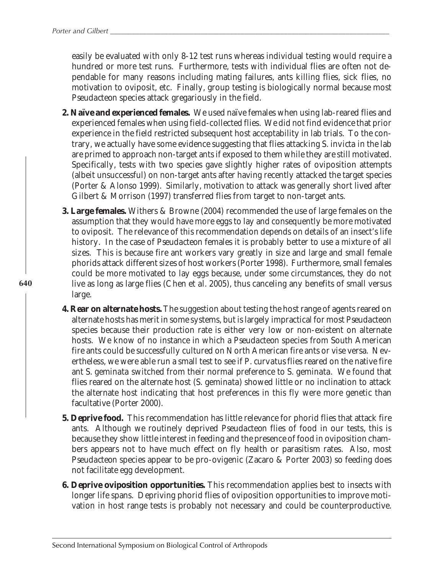easily be evaluated with only 8-12 test runs whereas individual testing would require a hundred or more test runs. Furthermore, tests with individual flies are often not dependable for many reasons including mating failures, ants killing flies, sick flies, no motivation to oviposit, etc. Finally, group testing is biologically normal because most *Pseudacteon* species attack gregariously in the field.

- **2. Naïve and experienced females.** We used naïve females when using lab-reared flies and experienced females when using field-collected flies. We did not find evidence that prior experience in the field restricted subsequent host acceptability in lab trials. To the contrary, we actually have some evidence suggesting that flies attacking *S. invicta* in the lab are primed to approach non-target ants if exposed to them while they are still motivated. Specifically, tests with two species gave slightly higher rates of oviposition attempts (albeit unsuccessful) on non-target ants after having recently attacked the target species (Porter & Alonso 1999). Similarly, motivation to attack was generally short lived after Gilbert & Morrison (1997) transferred flies from target to non-target ants.
- **3. Large females.** Withers & Browne (2004) recommended the use of large females on the assumption that they would have more eggs to lay and consequently be more motivated to oviposit. The relevance of this recommendation depends on details of an insect's life history. In the case of *Pseudacteon* females it is probably better to use a mixture of all sizes. This is because fire ant workers vary greatly in size and large and small female phorids attack different sizes of host workers (Porter 1998). Furthermore, small females could be more motivated to lay eggs because, under some circumstances, they do not live as long as large flies (Chen *et al.* 2005), thus canceling any benefits of small versus large.
- **4. Rear on alternate hosts.** The suggestion about testing the host range of agents reared on alternate hosts has merit in some systems, but is largely impractical for most *Pseudacteon* species because their production rate is either very low or non-existent on alternate hosts. We know of no instance in which a *Pseudacteon* species from South American fire ants could be successfully cultured on North American fire ants or vise versa. Nevertheless, we were able run a small test to see if *P. curvatus* flies reared on the native fire ant *S. geminata* switched from their normal preference to *S. geminata*. We found that flies reared on the alternate host (*S. geminata*) showed little or no inclination to attack the alternate host indicating that host preferences in this fly were more genetic than facultative (Porter 2000).
- **5. Deprive food.** This recommendation has little relevance for phorid flies that attack fire ants. Although we routinely deprived *Pseudacteon* flies of food in our tests, this is because they show little interest in feeding and the presence of food in oviposition chambers appears not to have much effect on fly health or parasitism rates. Also, most *Pseudacteon* species appear to be pro-ovigenic (Zacaro & Porter 2003) so feeding does not facilitate egg development.
- **6. Deprive oviposition opportunities.** This recommendation applies best to insects with longer life spans. Depriving phorid flies of oviposition opportunities to improve motivation in host range tests is probably not necessary and could be counterproductive.

Second International Symposium on Biological Control of Arthropods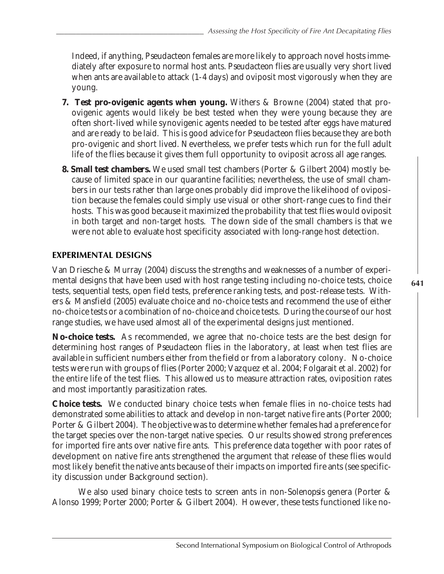Indeed, if anything, *Pseudacteon* females are more likely to approach novel hosts immediately after exposure to normal host ants. *Pseudacteon* flies are usually very short lived when ants are available to attack (1-4 days) and oviposit most vigorously when they are young.

- **7. Test pro-ovigenic agents when young.** Withers & Browne (2004) stated that proovigenic agents would likely be best tested when they were young because they are often short-lived while synovigenic agents needed to be tested after eggs have matured and are ready to be laid. This is good advice for *Pseudacteon* flies because they are both pro-ovigenic and short lived. Nevertheless, we prefer tests which run for the full adult life of the flies because it gives them full opportunity to oviposit across all age ranges.
- **8. Small test chambers.** We used small test chambers (Porter & Gilbert 2004) mostly because of limited space in our quarantine facilities; nevertheless, the use of small chambers in our tests rather than large ones probably did improve the likelihood of oviposition because the females could simply use visual or other short-range cues to find their hosts. This was good because it maximized the probability that test flies would oviposit in both target and non-target hosts. The down side of the small chambers is that we were not able to evaluate host specificity associated with long-range host detection.

### **EXPERIMENTAL DESIGNS**

Van Driesche & Murray (2004) discuss the strengths and weaknesses of a number of experimental designs that have been used with host range testing including no-choice tests, choice tests, sequential tests, open field tests, preference ranking tests, and post-release tests. Withers & Mansfield (2005) evaluate choice and no-choice tests and recommend the use of either no-choice tests or a combination of no-choice and choice tests. During the course of our host range studies, we have used almost all of the experimental designs just mentioned.

**No-choice tests.** As recommended, we agree that no-choice tests are the best design for determining host ranges of *Pseudacteon* flies in the laboratory, at least when test flies are available in sufficient numbers either from the field or from a laboratory colony. No-choice tests were run with groups of flies (Porter 2000; Vazquez *et al.* 2004; Folgarait *et al.* 2002) for the entire life of the test flies. This allowed us to measure attraction rates, oviposition rates and most importantly parasitization rates.

**Choice tests.** We conducted binary choice tests when female flies in no-choice tests had demonstrated some abilities to attack and develop in non-target native fire ants (Porter 2000; Porter & Gilbert 2004). The objective was to determine whether females had a preference for the target species over the non-target native species. Our results showed strong preferences for imported fire ants over native fire ants. This preference data together with poor rates of development on native fire ants strengthened the argument that release of these flies would most likely benefit the native ants because of their impacts on imported fire ants (see specificity discussion under Background section).

We also used binary choice tests to screen ants in non-*Solenopsis* genera (Porter & Alonso 1999; Porter 2000; Porter & Gilbert 2004). However, these tests functioned like no-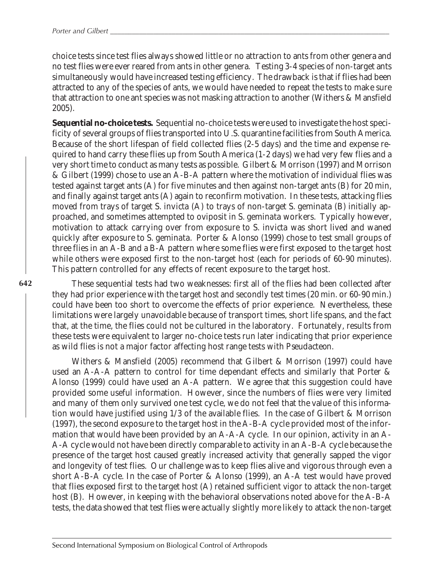choice tests since test flies always showed little or no attraction to ants from other genera and no test flies were ever reared from ants in other genera. Testing 3-4 species of non-target ants simultaneously would have increased testing efficiency. The drawback is that if flies had been attracted to any of the species of ants, we would have needed to repeat the tests to make sure that attraction to one ant species was not masking attraction to another (Withers & Mansfield 2005).

**Sequential no-choice tests.** Sequential no-choice tests were used to investigate the host specificity of several groups of flies transported into U.S. quarantine facilities from South America. Because of the short lifespan of field collected flies (2-5 days) and the time and expense required to hand carry these flies up from South America (1-2 days) we had very few flies and a very short time to conduct as many tests as possible. Gilbert & Morrison (1997) and Morrison & Gilbert (1999) chose to use an A-B-A pattern where the motivation of individual flies was tested against target ants (A) for five minutes and then against non-target ants (B) for 20 min, and finally against target ants (A) again to reconfirm motivation. In these tests, attacking flies moved from trays of target *S. invicta* (A) to trays of non-target *S. geminata* (B) initially approached, and sometimes attempted to oviposit in *S. geminata* workers. Typically however, motivation to attack carrying over from exposure to *S. invicta* was short lived and waned quickly after exposure to *S. geminata*. Porter & Alonso (1999) chose to test small groups of three flies in an A-B and a B-A pattern where some flies were first exposed to the target host while others were exposed first to the non-target host (each for periods of 60-90 minutes). This pattern controlled for any effects of recent exposure to the target host.

#### **642**

These sequential tests had two weaknesses: first all of the flies had been collected after they had prior experience with the target host and secondly test times (20 min. or 60-90 min.) could have been too short to overcome the effects of prior experience. Nevertheless, these limitations were largely unavoidable because of transport times, short life spans, and the fact that, at the time, the flies could not be cultured in the laboratory. Fortunately, results from these tests were equivalent to larger no-choice tests run later indicating that prior experience as wild flies is not a major factor affecting host range tests with *Pseudacteon.*

Withers & Mansfield (2005) recommend that Gilbert & Morrison (1997) could have used an A-A-A pattern to control for time dependant effects and similarly that Porter & Alonso (1999) could have used an A-A pattern. We agree that this suggestion could have provided some useful information. However, since the numbers of flies were very limited and many of them only survived one test cycle, we do not feel that the value of this information would have justified using 1/3 of the available flies. In the case of Gilbert & Morrison (1997), the second exposure to the target host in the A-B-A cycle provided most of the information that would have been provided by an A-A-A cycle. In our opinion, activity in an A-A-A cycle would not have been directly comparable to activity in an A-B-A cycle because the presence of the target host caused greatly increased activity that generally sapped the vigor and longevity of test flies. Our challenge was to keep flies alive and vigorous through even a short A-B-A cycle. In the case of Porter & Alonso (1999), an A-A test would have proved that flies exposed first to the target host (A) retained sufficient vigor to attack the non-target host (B). However, in keeping with the behavioral observations noted above for the A-B-A tests, the data showed that test flies were actually slightly more likely to attack the non-target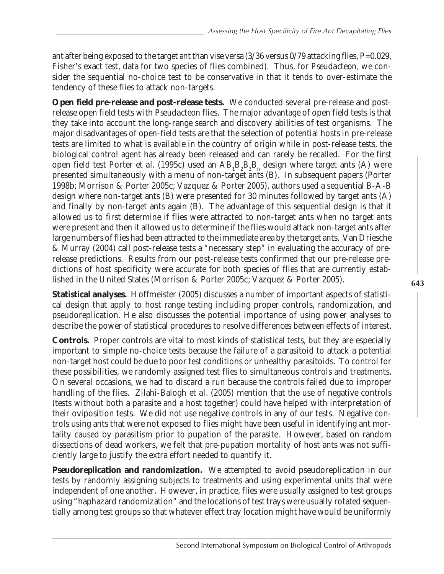ant after being exposed to the target ant than vise versa (3/36 versus 0/79 attacking flies, P=0.029, Fisher's exact test, data for two species of flies combined). Thus, for *Pseudacteon*, we consider the sequential no-choice test to be conservative in that it tends to over-estimate the tendency of these flies to attack non-targets.

**Open field pre-release and post-release tests.** We conducted several pre-release and postrelease open field tests with *Pseudacteon* flies. The major advantage of open field tests is that they take into account the long-range search and discovery abilities of test organisms. The major disadvantages of open-field tests are that the selection of potential hosts in pre-release tests are limited to what is available in the country of origin while in post-release tests, the biological control agent has already been released and can rarely be recalled. For the first open field test Porter *et al.* (1995c) used an  $\rm{AB_1B_2B_3B_n}$  design where target ants (A) were presented simultaneously with a menu of non-target ants (B). In subsequent papers (Porter 1998b; Morrison & Porter 2005c; Vazquez & Porter 2005), authors used a sequential B-A-B design where non-target ants (B) were presented for 30 minutes followed by target ants (A) and finally by non-target ants again (B). The advantage of this sequential design is that it allowed us to first determine if flies were attracted to non-target ants when no target ants were present and then it allowed us to determine if the flies would attack non-target ants after large numbers of flies had been attracted to the immediate area by the target ants. Van Driesche & Murray (2004) call post-release tests a "necessary step" in evaluating the accuracy of prerelease predictions. Results from our post-release tests confirmed that our pre-release predictions of host specificity were accurate for both species of flies that are currently established in the United States (Morrison & Porter 2005c; Vazquez & Porter 2005).

**Statistical analyses.** Hoffmeister (2005) discusses a number of important aspects of statistical design that apply to host range testing including proper controls, randomization, and pseudoreplication. He also discusses the potential importance of using power analyses to describe the power of statistical procedures to resolve differences between effects of interest.

**Controls.**Proper controls are vital to most kinds of statistical tests, but they are especially important to simple no-choice tests because the failure of a parasitoid to attack a potential non-target host could be due to poor test conditions or unhealthy parasitoids. To control for these possibilities, we randomly assigned test flies to simultaneous controls and treatments. On several occasions, we had to discard a run because the controls failed due to improper handling of the flies. Zilahi-Balogh *et al*. (2005) mention that the use of negative controls (tests without both a parasite and a host together) could have helped with interpretation of their oviposition tests. We did not use negative controls in any of our tests. Negative controls using ants that were not exposed to flies might have been useful in identifying ant mortality caused by parasitism prior to pupation of the parasite. However, based on random dissections of dead workers, we felt that pre-pupation mortality of host ants was not sufficiently large to justify the extra effort needed to quantify it.

**Pseudoreplication and randomization.** We attempted to avoid pseudoreplication in our tests by randomly assigning subjects to treatments and using experimental units that were independent of one another. However, in practice, flies were usually assigned to test groups using "haphazard randomization" and the locations of test trays were usually rotated sequentially among test groups so that whatever effect tray location might have would be uniformly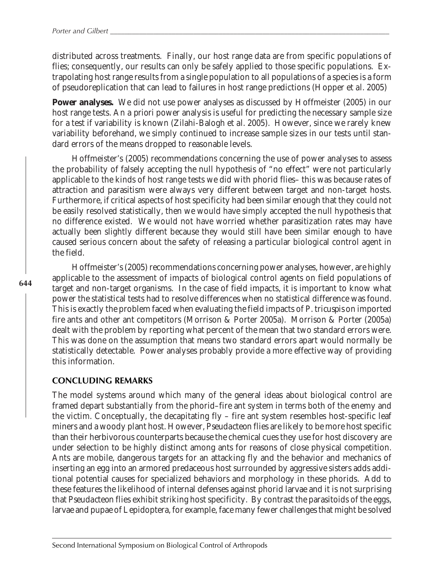distributed across treatments. Finally, our host range data are from specific populations of flies; consequently, our results can only be safely applied to those specific populations. Extrapolating host range results from a single population to all populations of a species is a form of pseudoreplication that can lead to failures in host range predictions (Hopper *et al.* 2005)

**Power analyses.** We did not use power analyses as discussed by Hoffmeister (2005) in our host range tests. An *a priori* power analysis is useful for predicting the necessary sample size for a test if variability is known (Zilahi-Balogh *et al.* 2005). However, since we rarely knew variability beforehand, we simply continued to increase sample sizes in our tests until standard errors of the means dropped to reasonable levels.

Hoffmeister's (2005) recommendations concerning the use of power analyses to assess the probability of falsely accepting the null hypothesis of "no effect" were not particularly applicable to the kinds of host range tests we did with phorid flies– this was because rates of attraction and parasitism were always very different between target and non-target hosts. Furthermore, if critical aspects of host specificity had been similar enough that they could not be easily resolved statistically, then we would have simply accepted the null hypothesis that no difference existed. We would not have worried whether parasitization rates may have actually been slightly different because they would still have been similar enough to have caused serious concern about the safety of releasing a particular biological control agent in the field.

Hoffmeister's (2005) recommendations concerning power analyses, however, are highly applicable to the assessment of impacts of biological control agents on field populations of target and non-target organisms. In the case of field impacts, it is important to know what power the statistical tests had to resolve differences when no statistical difference was found. This is exactly the problem faced when evaluating the field impacts of *P. tricuspis* on imported fire ants and other ant competitors (Morrison & Porter 2005a). Morrison & Porter (2005a) dealt with the problem by reporting what percent of the mean that two standard errors were. This was done on the assumption that means two standard errors apart would normally be statistically detectable. Power analyses probably provide a more effective way of providing this information.

### **CONCLUDING REMARKS**

The model systems around which many of the general ideas about biological control are framed depart substantially from the phorid–fire ant system in terms both of the enemy and the victim. Conceptually, the decapitating fly – fire ant system resembles host-specific leaf miners and a woody plant host. However, *Pseudacteon* flies are likely to be more host specific than their herbivorous counterparts because the chemical cues they use for host discovery are under selection to be highly distinct among ants for reasons of close physical competition. Ants are mobile, dangerous targets for an attacking fly and the behavior and mechanics of inserting an egg into an armored predaceous host surrounded by aggressive sisters adds additional potential causes for specialized behaviors and morphology in these phorids. Add to these features the likelihood of internal defenses against phorid larvae and it is not surprising that *Pseudacteon* flies exhibit striking host specificity. By contrast the parasitoids of the eggs, larvae and pupae of Lepidoptera, for example, face many fewer challenges that might be solved

Second International Symposium on Biological Control of Arthropods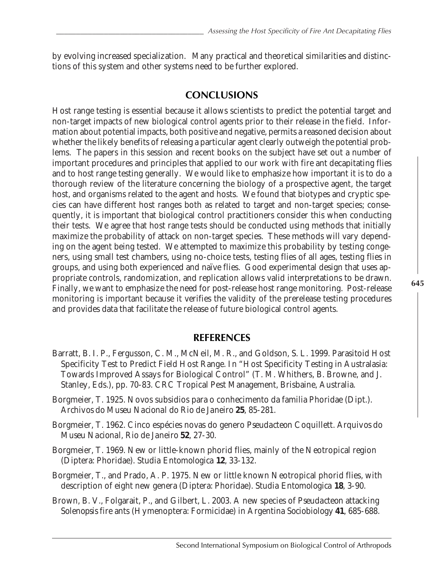by evolving increased specialization. Many practical and theoretical similarities and distinctions of this system and other systems need to be further explored.

## **CONCLUSIONS**

Host range testing is essential because it allows scientists to predict the potential target and non-target impacts of new biological control agents prior to their release in the field. Information about potential impacts, both positive and negative, permits a reasoned decision about whether the likely benefits of releasing a particular agent clearly outweigh the potential problems. The papers in this session and recent books on the subject have set out a number of important procedures and principles that applied to our work with fire ant decapitating flies and to host range testing generally. We would like to emphasize how important it is to do a thorough review of the literature concerning the biology of a prospective agent, the target host, and organisms related to the agent and hosts. We found that biotypes and cryptic species can have different host ranges both as related to target and non-target species; consequently, it is important that biological control practitioners consider this when conducting their tests. We agree that host range tests should be conducted using methods that initially maximize the probability of attack on non-target species. These methods will vary depending on the agent being tested. We attempted to maximize this probability by testing congeners, using small test chambers, using no-choice tests, testing flies of all ages, testing flies in groups, and using both experienced and naïve flies. Good experimental design that uses appropriate controls, randomization, and replication allows valid interpretations to be drawn. Finally, we want to emphasize the need for post-release host range monitoring. Post-release monitoring is important because it verifies the validity of the prerelease testing procedures and provides data that facilitate the release of future biological control agents.

## **REFERENCES**

- Barratt, B. I. P., Fergusson, C. M., McNeil, M. R., and Goldson, S. L. 1999. Parasitoid Host Specificity Test to Predict Field Host Range. *In* "Host Specificity Testing in Australasia: Towards Improved Assays for Biological Control" (T. M. Whithers, B. Browne, and J. Stanley, Eds.), pp. 70-83. CRC Tropical Pest Management, Brisbaine, Australia.
- Borgmeier, T. 1925. Novos subsidios para o conhecimento da familia Phoridae (Dipt.). *Archivos do Museu Nacional do Rio de Janeiro* **25**, 85-281.
- Borgmeier, T. 1962. Cinco espécies novas do genero *Pseudacteon* Coquillett. *Arquivos do Museu Nacional, Rio de Janeiro* **52**, 27-30.
- Borgmeier, T. 1969. New or little-known phorid flies, mainly of the Neotropical region (Diptera: Phoridae). *Studia Entomologica* **12**, 33-132.
- Borgmeier, T., and Prado, A. P. 1975. New or little known Neotropical phorid flies, with description of eight new genera (Diptera: Phoridae). *Studia Entomologica* **18**, 3-90.
- Brown, B. V., Folgarait, P., and Gilbert, L. 2003. A new species of *Pseudacteon* attacking *Solenopsis* fire ants (Hymenoptera: Formicidae) in Argentina *Sociobiology* **41**, 685-688.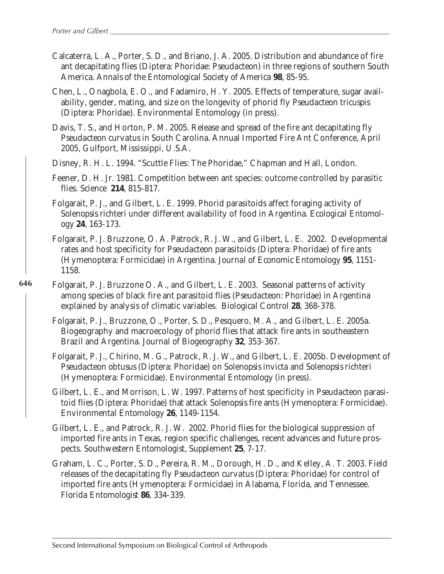- Calcaterra, L. A., Porter, S. D., and Briano, J. A. 2005. Distribution and abundance of fire ant decapitating flies (Diptera: Phoridae: *Pseudacteon*) in three regions of southern South America. *Annals of the Entomological Society of America* **98**, 85-95.
- Chen, L., Onagbola, E. O., and Fadamiro, H. Y. 2005. Effects of temperature, sugar availability, gender, mating, and size on the longevity of phorid fly *Pseudacteon tricuspis* (Diptera: Phoridae). *Environmental Entomology* (in press).
- Davis, T. S., and Horton, P. M. 2005. Release and spread of the fire ant decapitating fly *Pseudacteon curvatus* in South Carolina. Annual Imported Fire Ant Conference, April 2005, Gulfport, Mississippi, U.S.A.
- Disney, R. H. L. 1994. "Scuttle Flies: The Phoridae," Chapman and Hall, London.
- Feener, D. H. Jr. 1981. Competition between ant species: outcome controlled by parasitic flies. *Science* **214**, 815-817.
- Folgarait, P. J., and Gilbert, L. E. 1999. Phorid parasitoids affect foraging activity of *Solenopsis richteri* under different availability of food in Argentina. *Ecological Entomology* **24**, 163-173.
- Folgarait, P. J. Bruzzone, O. A. Patrock, R. J. W., and Gilbert, L. E. 2002. Developmental rates and host specificity for *Pseudacteon* parasitoids (Diptera: Phoridae) of fire ants (Hymenoptera: Formicidae) in Argentina. *Journal of Economic Entomology* **95**, 1151- 1158.
- Folgarait, P. J. Bruzzone O. A., and Gilbert, L. E. 2003. Seasonal patterns of activity among species of black fire ant parasitoid flies (*Pseudacteon*: Phoridae) in Argentina explained by analysis of climatic variables. *Biological Control* **28**, 368-378.
	- Folgarait, P. J., Bruzzone, O., Porter, S. D., Pesquero, M. A., and Gilbert, L. E. 2005a. Biogeography and macroecology of phorid flies that attack fire ants in southeastern Brazil and Argentina. *Journal of Biogeography* **32**, 353-367.
	- Folgarait, P. J., Chirino, M. G., Patrock, R. J. W., and Gilbert, L. E. 2005b. Development of *Pseudacteon obtusus* (Diptera: Phoridae) on *Solenopsis invicta* and *Solenopsis richteri* (Hymenoptera: Formicidae). *Environmental Entomology* (in press).
	- Gilbert, L. E., and Morrison, L. W. 1997. Patterns of host specificity in *Pseudacteon* parasitoid flies (Diptera: Phoridae) that attack *Solenopsis* fire ants (Hymenoptera: Formicidae). *Environmental Entomology* **26**, 1149-1154.
	- Gilbert, L. E., and Patrock, R. J. W. 2002. Phorid flies for the biological suppression of imported fire ants in Texas, region specific challenges, recent advances and future prospects. *Southwestern Entomologist, Supplement* **25**, 7-17.
	- Graham, L. C., Porter, S. D., Pereira, R. M., Dorough, H. D., and Kelley, A. T. 2003. Field releases of the decapitating fly *Pseudacteon curvatus* (Diptera: Phoridae) for control of imported fire ants (Hymenoptera: Formicidae) in Alabama, Florida, and Tennessee. *Florida Entomologist* **86**, 334-339.

Second International Symposium on Biological Control of Arthropods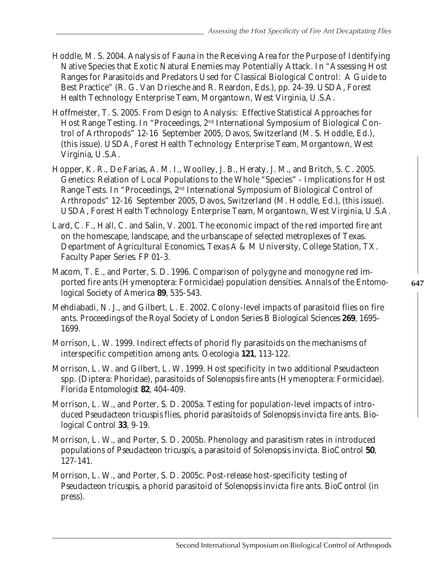- Hoddle, M. S. 2004. Analysis of Fauna in the Receiving Area for the Purpose of Identifying Native Species that Exotic Natural Enemies may Potentially Attack. *In* "Assessing Host Ranges for Parasitoids and Predators Used for Classical Biological Control: A Guide to Best Practice" (R. G. Van Driesche and R. Reardon, Eds.), pp. 24-39. USDA, Forest Health Technology Enterprise Team, Morgantown, West Virginia, U.S.A.
- Hoffmeister, T. S. 2005. From Design to Analysis: Effective Statistical Approaches for Host Range Testing. *In* "Proceedings, 2nd International Symposium of Biological Control of Arthropods" 12-16 September 2005, Davos, Switzerland (M. S. Hoddle, Ed.), (this issue). USDA, Forest Health Technology Enterprise Team, Morgantown, West Virginia, U.S.A.
- Hopper, K. R., De Farias, A. M. I., Woolley, J. B., Heraty, J. M., and Britch, S. C. 2005. Genetics: Relation of Local Populations to the Whole "Species" - Implications for Host Range Tests. *In* "Proceedings, 2nd International Symposium of Biological Control of Arthropods" 12-16 September 2005, Davos, Switzerland (M. Hoddle, Ed.), (this issue). USDA, Forest Health Technology Enterprise Team, Morgantown, West Virginia, U.S.A.
- Lard, C. F., Hall, C. and Salin, V. 2001. The economic impact of the red imported fire ant on the homescape, landscape, and the urbanscape of selected metroplexes of Texas. *Department of Agricultural Economics, Texas A & M University, College Station, TX. Faculty Paper Series*. FP 01-3.
- Macom, T. E., and Porter, S. D. 1996. Comparison of polygyne and monogyne red imported fire ants (Hymenoptera: Formicidae) population densities. *Annals of the Entomological Society of America* **89**, 535-543.
- Mehdiabadi, N. J., and Gilbert, L. E. 2002. Colony-level impacts of parasitoid flies on fire ants. *Proceedings of the Royal Society of London Series B Biological Sciences* **269**, 1695- 1699.
- Morrison, L. W. 1999. Indirect effects of phorid fly parasitoids on the mechanisms of interspecific competition among ants. *Oecologia* **121**, 113-122.
- Morrison, L. W. and Gilbert, L. W. 1999. Host specificity in two additional *Pseudacteon* spp. (Diptera: Phoridae), parasitoids of *Solenopsis* fire ants (Hymenoptera: Formicidae). *Florida Entomologist* **82**, 404-409.
- Morrison, L. W., and Porter, S. D. 2005a. Testing for population-level impacts of introduced *Pseudacteon tricuspis* flies, phorid parasitoids *of Solenopsis invicta* fire ants. *Biological Control* **33**, 9-19.
- Morrison, L. W., and Porter, S. D. 2005b. Phenology and parasitism rates in introduced populations of *Pseudacteon tricuspis*, a parasitoid of *Solenopsis invicta*. *BioControl* **50**, 127-141.
- Morrison, L. W., and Porter, S. D. 2005c. Post-release host-specificity testing of *Pseudacteon tricuspis*, a phorid parasitoid of *Solenopsis invicta* fire ants. *BioControl* (in press).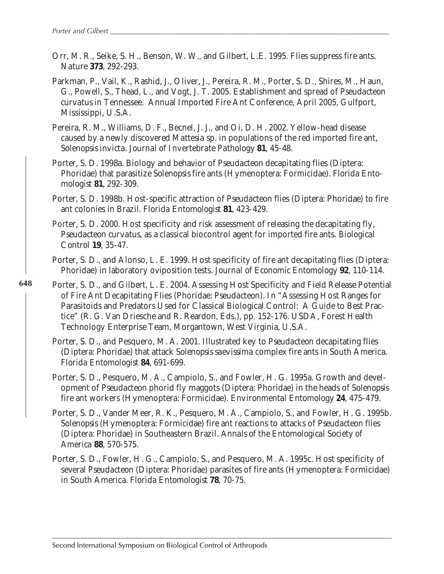- Orr, M. R., Seike, S. H., Benson, W. W., and Gilbert, L.E. 1995. Flies suppress fire ants. *Nature* **373**, 292-293.
- Parkman, P., Vail, K., Rashid, J., Oliver, J., Pereira, R. M., Porter, S. D., Shires, M., Haun, G., Powell, S., Thead, L., and Vogt, J. T. 2005. Establishment and spread of *Pseudacteon curvatus* in Tennessee. Annual Imported Fire Ant Conference, April 2005, Gulfport, Mississippi, U.S.A.
- Pereira, R. M., Williams, D. F., Becnel, J. J., and Oi, D. H. 2002. Yellow-head disease caused by a newly discovered *Mattesia* sp. in populations of the red imported fire ant, *Solenopsis invicta*. *Journal of Invertebrate Pathology* **81**, 45-48.
- Porter, S. D. 1998a. Biology and behavior of *Pseudacteon* decapitating flies (Diptera: Phoridae) that parasitize *Solenopsis* fire ants (Hymenoptera: Formicidae). *Florida Entomologist* **81**, 292-309.
- Porter, S. D. 1998b. Host-specific attraction of *Pseudacteon* flies (Diptera: Phoridae) to fire ant colonies in Brazil. *Florida Entomologist* **81**, 423-429.
- Porter, S. D. 2000. Host specificity and risk assessment of releasing the decapitating fly, *Pseudacteon curvatus*, as a classical biocontrol agent for imported fire ants. *Biological Control* **19**, 35-47.
- Porter, S. D., and Alonso, L. E. 1999. Host specificity of fire ant decapitating flies (Diptera: Phoridae) in laboratory oviposition tests. *Journal of Economic Entomology* **92**, 110-114.
- **648** Porter, S. D., and Gilbert, L. E. 2004. Assessing Host Specificity and Field Release Potential of Fire Ant Decapitating Flies (Phoridae: *Pseudacteon*). *In* "Assessing Host Ranges for Parasitoids and Predators Used for Classical Biological Control: A Guide to Best Practice" (R. G. Van Driesche and R. Reardon, Eds.), pp. 152-176. USDA, Forest Health Technology Enterprise Team, Morgantown, West Virginia, U.S.A.
	- Porter, S. D., and Pesquero, M. A. 2001. Illustrated key to *Pseudacteon* decapitating flies (Diptera: Phoridae) that attack *Solenopsis saevissima* complex fire ants in South America. *Florida Entomologist* **84**, 691-699.
	- Porter, S. D., Pesquero, M. A., Campiolo, S., and Fowler, H. G. 1995a. Growth and development of *Pseudacteon* phorid fly maggots (Diptera: Phoridae) in the heads of *Solenopsis* fire ant workers (Hymenoptera: Formicidae). *Environmental Entomology* **24**, 475-479.
	- Porter, S. D., Vander Meer, R. K., Pesquero, M. A., Campiolo, S., and Fowler, H. G. 1995b. *Solenopsis* (Hymenoptera: Formicidae) fire ant reactions to attacks of *Pseudacteon* flies (Diptera: Phoridae) in Southeastern Brazil. *Annals of the Entomological Society of America* **88**, 570-575.
	- Porter, S. D., Fowler, H. G., Campiolo, S., and Pesquero, M. A. 1995c. Host specificity of several *Pseudacteon* (Diptera: Phoridae) parasites of fire ants (Hymenoptera: Formicidae) in South America. *Florida Entomologist* **78**, 70-75.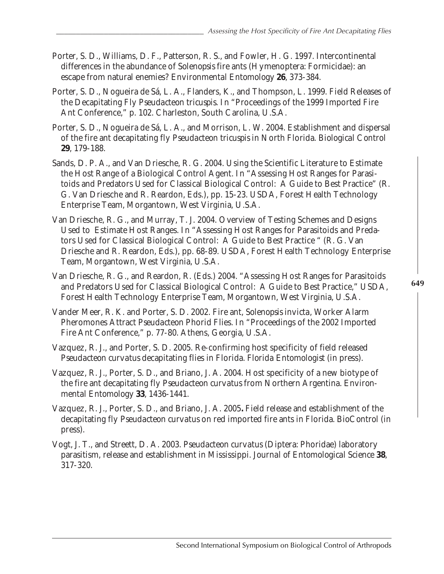- Porter, S. D., Williams, D. F., Patterson, R. S., and Fowler, H. G. 1997. Intercontinental differences in the abundance of *Solenopsis* fire ants (Hymenoptera: Formicidae): an escape from natural enemies? *Environmental Entomology* **26**, 373-384.
- Porter, S. D., Nogueira de Sá, L. A., Flanders, K., and Thompson, L. 1999. Field Releases of the Decapitating Fly *Pseudacteon tricuspis*. *In* "Proceedings of the 1999 Imported Fire Ant Conference," p. 102. Charleston, South Carolina, U.S.A.
- Porter, S. D., Nogueira de Sá, L. A., and Morrison, L. W. 2004. Establishment and dispersal of the fire ant decapitating fly *Pseudacteon tricuspis* in North Florida. *Biological Control* **29**, 179-188.
- Sands, D. P. A., and Van Driesche, R. G. 2004. Using the Scientific Literature to Estimate the Host Range of a Biological Control Agent. *In* "Assessing Host Ranges for Parasitoids and Predators Used for Classical Biological Control: A Guide to Best Practice" (R. G. Van Driesche and R. Reardon, Eds.), pp. 15-23. USDA, Forest Health Technology Enterprise Team, Morgantown, West Virginia, U.S.A.
- Van Driesche, R. G., and Murray, T. J. 2004. Overview of Testing Schemes and Designs Used to Estimate Host Ranges. *In* "Assessing Host Ranges for Parasitoids and Predators Used for Classical Biological Control: A Guide to Best Practice " (R. G. Van Driesche and R. Reardon, Eds.), pp. 68-89. USDA, Forest Health Technology Enterprise Team, Morgantown, West Virginia, U.S.A.
- Van Driesche, R. G., and Reardon, R. (Eds.) 2004. "Assessing Host Ranges for Parasitoids and Predators Used for Classical Biological Control: A Guide to Best Practice," USDA, Forest Health Technology Enterprise Team, Morgantown, West Virginia, U.S.A.
- Vander Meer, R. K. and Porter, S. D. 2002. Fire ant, *Solenopsis invicta*, Worker Alarm Pheromones Attract *Pseudacteon* Phorid Flies. *In* "Proceedings of the 2002 Imported Fire Ant Conference," p. 77-80. Athens, Georgia, U.S.A.
- Vazquez, R. J., and Porter, S. D. 2005. Re-confirming host specificity of field released *Pseudacteon curvatus* decapitating flies in Florida. *Florida Entomologist* (in press).
- Vazquez, R. J., Porter, S. D., and Briano, J. A. 2004. Host specificity of a new biotype of the fire ant decapitating fly *Pseudacteon curvatus* from Northern Argentina. *Environmental Entomology* **33**, 1436-1441.
- Vazquez, R. J., Porter, S. D., and Briano, J. A. 2005**.** Field release and establishment of the decapitating fly *Pseudacteon curvatus* on red imported fire ants in Florida. *BioControl* (in press).
- Vogt, J. T., and Streett, D. A. 2003. *Pseudacteon curvatus* (Diptera: Phoridae) laboratory parasitism, release and establishment in Mississippi*. Journal of Entomological Science* **38**, 317-320.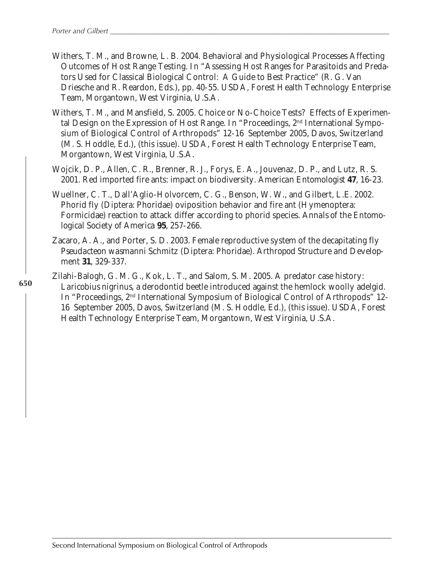- Withers, T. M., and Browne, L. B. 2004. Behavioral and Physiological Processes Affecting Outcomes of Host Range Testing. *In* "Assessing Host Ranges for Parasitoids and Predators Used for Classical Biological Control: A Guide to Best Practice" (R. G. Van Driesche and R. Reardon, Eds.), pp. 40-55. USDA, Forest Health Technology Enterprise Team, Morgantown, West Virginia, U.S.A.
- Withers, T. M., and Mansfield, S. 2005. Choice or No-Choice Tests? Effects of Experimental Design on the Expression of Host Range. *In* "Proceedings, 2nd International Symposium of Biological Control of Arthropods" 12-16 September 2005, Davos, Switzerland (M. S. Hoddle, Ed.), (this issue). USDA, Forest Health Technology Enterprise Team, Morgantown, West Virginia, U.S.A.
- Wojcik, D. P., Allen, C. R., Brenner, R. J., Forys, E. A., Jouvenaz, D. P., and Lutz, R. S. 2001. Red imported fire ants: impact on biodiversity. *American Entomologist* **47**, 16-23.
- Wuellner, C. T., Dall'Aglio-Holvorcem, C. G., Benson, W. W., and Gilbert, L.E. 2002. Phorid fly (Diptera: Phoridae) oviposition behavior and fire ant (Hymenoptera: Formicidae) reaction to attack differ according to phorid species. *Annals of the Entomological Society of America* **95**, 257-266.
- Zacaro, A. A., and Porter, S. D. 2003. Female reproductive system of the decapitating fly *Pseudacteon wasmanni* Schmitz (Diptera: Phoridae). *Arthropod Structure and Development* **31**, 329-337.
- Zilahi-Balogh, G. M. G., Kok, L. T., and Salom, S. M. 2005. A predator case history: *Laricobius nigrinus*, a derodontid beetle introduced against the hemlock woolly adelgid. *In* "Proceedings, 2<sup>nd</sup> International Symposium of Biological Control of Arthropods" 12-16 September 2005, Davos, Switzerland (M. S. Hoddle, Ed.), (this issue). USDA, Forest Health Technology Enterprise Team, Morgantown, West Virginia, U.S.A.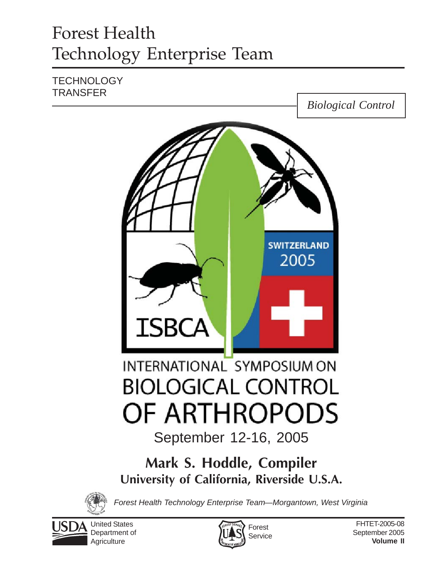# Forest Health Technology Enterprise Team

# **TECHNOLOGY TRANSFER**





*Forest Health Technology Enterprise Team—Morgantown, West Virginia*



United States Department of **Agriculture** 

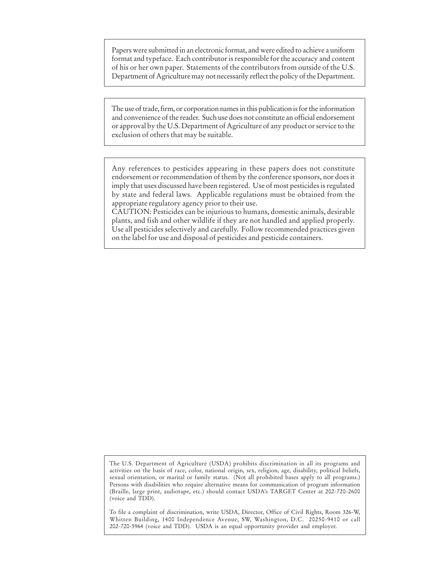Papers were submitted in an electronic format, and were edited to achieve a uniform format and typeface. Each contributor is responsible for the accuracy and content of his or her own paper. Statements of the contributors from outside of the U.S. Department of Agriculture may not necessarily reflect the policy of the Department.

The use of trade, firm, or corporation names in this publication is for the information and convenience of the reader. Such use does not constitute an official endorsement or approval by the U.S. Department of Agriculture of any product or service to the exclusion of others that may be suitable.

Any references to pesticides appearing in these papers does not constitute endorsement or recommendation of them by the conference sponsors, nor does it imply that uses discussed have been registered. Use of most pesticides is regulated by state and federal laws. Applicable regulations must be obtained from the appropriate regulatory agency prior to their use.

CAUTION: Pesticides can be injurious to humans, domestic animals, desirable plants, and fish and other wildlife if they are not handled and applied properly. Use all pesticides selectively and carefully. Follow recommended practices given on the label for use and disposal of pesticides and pesticide containers.

The U.S. Department of Agriculture (USDA) prohibits discrimination in all its programs and activities on the basis of race, color, national origin, sex, religion, age, disability, political beliefs, sexual orientation, or marital or family status. (Not all prohibited bases apply to all programs.) Persons with disabilities who require alternative means for communication of program information (Braille, large print, audiotape, etc.) should contact USDA's TARGET Center at 202-720-2600 (voice and TDD).

To file a complaint of discrimination, write USDA, Director, Office of Civil Rights, Room 326-W, Whitten Building, 1400 Independence Avenue, SW, Washington, D.C. 20250-9410 or call 202-720-5964 (voice and TDD). USDA is an equal opportunity provider and employer.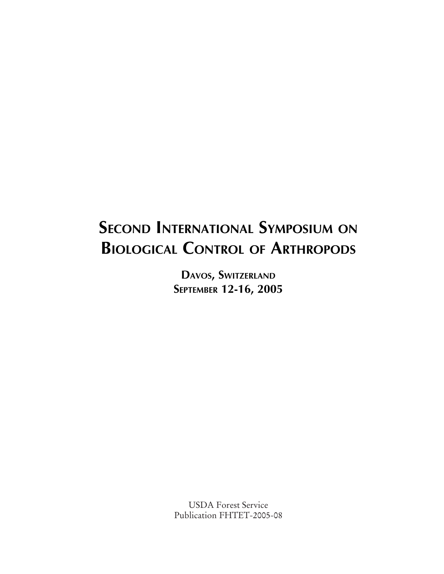# **SECOND INTERNATIONAL SYMPOSIUM ON BIOLOGICAL CONTROL OF ARTHROPODS**

**DAVOS, SWITZERLAND SEPTEMBER 12-16, 2005**

USDA Forest Service Publication FHTET-2005-08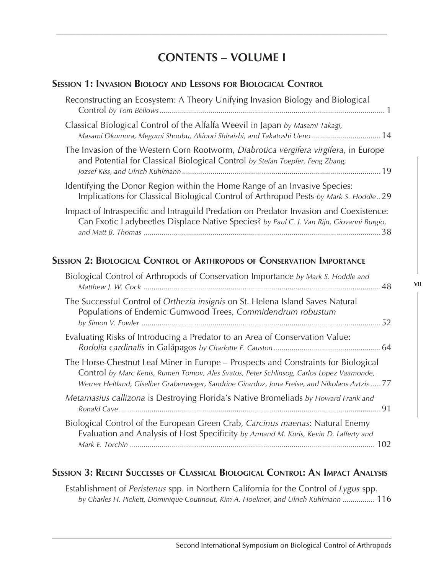# **CONTENTS – VOLUME I**

*\_\_\_\_\_\_\_\_\_\_\_\_\_\_\_\_\_\_\_\_\_\_\_\_\_\_\_\_\_\_\_\_\_\_\_\_\_\_\_\_\_\_\_\_\_\_\_\_\_\_\_\_\_\_\_\_\_\_\_\_\_\_\_\_\_\_\_\_\_\_\_\_\_\_\_\_\_\_\_\_\_\_\_*

### **SESSION 1: INVASION BIOLOGY AND LESSONS FOR BIOLOGICAL CONTROL**

| Reconstructing an Ecosystem: A Theory Unifying Invasion Biology and Biological                                                                                                     |
|------------------------------------------------------------------------------------------------------------------------------------------------------------------------------------|
| Classical Biological Control of the Alfalfa Weevil in Japan by Masami Takagi,<br>Masami Okumura, Megumi Shoubu, Akinori Shiraishi, and Takatoshi Ueno  14                          |
| The Invasion of the Western Corn Rootworm, Diabrotica vergifera virgifera, in Europe<br>and Potential for Classical Biological Control by Stefan Toepfer, Feng Zhang,              |
| Identifying the Donor Region within the Home Range of an Invasive Species:<br>Implications for Classical Biological Control of Arthropod Pests by Mark S. Hoddle29                 |
| Impact of Intraspecific and Intraguild Predation on Predator Invasion and Coexistence:<br>Can Exotic Ladybeetles Displace Native Species? by Paul C. J. Van Rijn, Giovanni Burgio, |

# **SESSION 2: BIOLOGICAL CONTROL OF ARTHROPODS OF CONSERVATION IMPORTANCE**

| Biological Control of Arthropods of Conservation Importance by Mark S. Hoddle and                                                                                                                                                                                               |  |
|---------------------------------------------------------------------------------------------------------------------------------------------------------------------------------------------------------------------------------------------------------------------------------|--|
| The Successful Control of Orthezia insignis on St. Helena Island Saves Natural<br>Populations of Endemic Gumwood Trees, Commidendrum robustum                                                                                                                                   |  |
| Evaluating Risks of Introducing a Predator to an Area of Conservation Value:                                                                                                                                                                                                    |  |
| The Horse-Chestnut Leaf Miner in Europe – Prospects and Constraints for Biological<br>Control by Marc Kenis, Rumen Tomov, Ales Svatos, Peter Schlinsog, Carlos Lopez Vaamonde,<br>Werner Heitland, Giselher Grabenweger, Sandrine Girardoz, Jona Freise, and Nikolaos Avtzis 77 |  |
| Metamasius callizona is Destroying Florida's Native Bromeliads by Howard Frank and                                                                                                                                                                                              |  |
| Biological Control of the European Green Crab, Carcinus maenas: Natural Enemy<br>Evaluation and Analysis of Host Specificity by Armand M. Kuris, Kevin D. Lafferty and                                                                                                          |  |

## **SESSION 3: RECENT SUCCESSES OF CLASSICAL BIOLOGICAL CONTROL: AN IMPACT ANALYSIS**

Establishment of *Peristenus* spp. in Northern California for the Control of *Lygus* spp. *by Charles H. Pickett, Dominique Coutinout, Kim A. Hoelmer, and Ulrich Kuhlmann ................* 116 **VII**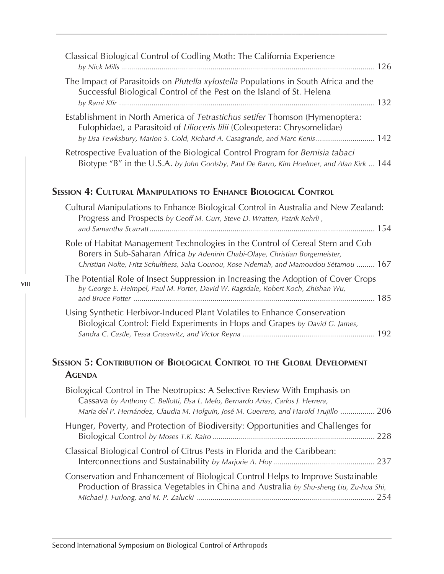| Classical Biological Control of Codling Moth: The California Experience                                                                                                                                                                                  |
|----------------------------------------------------------------------------------------------------------------------------------------------------------------------------------------------------------------------------------------------------------|
| The Impact of Parasitoids on Plutella xylostella Populations in South Africa and the<br>Successful Biological Control of the Pest on the Island of St. Helena                                                                                            |
| Establishment in North America of Tetrastichus setifer Thomson (Hymenoptera:<br>Eulophidae), a Parasitoid of Lilioceris lilii (Coleopetera: Chrysomelidae)<br>by Lisa Tewksbury, Marion S. Gold, Richard A. Casagrande, and Marc Kenis 142               |
| Retrospective Evaluation of the Biological Control Program for Bemisia tabaci<br>Biotype "B" in the U.S.A. by John Goolsby, Paul De Barro, Kim Hoelmer, and Alan Kirk  144                                                                               |
| <b>SESSION 4: CULTURAL MANIPULATIONS TO ENHANCE BIOLOGICAL CONTROL</b>                                                                                                                                                                                   |
| Cultural Manipulations to Enhance Biological Control in Australia and New Zealand:<br>Progress and Prospects by Geoff M. Gurr, Steve D. Wratten, Patrik Kehrli,                                                                                          |
| Role of Habitat Management Technologies in the Control of Cereal Stem and Cob<br>Borers in Sub-Saharan Africa by Adenirin Chabi-Olaye, Christian Borgemeister,<br>Christian Nolte, Fritz Schulthess, Saka Gounou, Rose Ndemah, and Mamoudou Sétamou  167 |
| The Potential Role of Insect Suppression in Increasing the Adoption of Cover Crops<br>by George E. Heimpel, Paul M. Porter, David W. Ragsdale, Robert Koch, Zhishan Wu,                                                                                  |
| Using Synthetic Herbivor-Induced Plant Volatiles to Enhance Conservation<br>Biological Control: Field Experiments in Hops and Grapes by David G. James,                                                                                                  |
| <b>SESSION 5: CONTRIBUTION OF BIOLOGICAL CONTROL TO THE GLOBAL DEVELOPMENT</b><br><b>AGENDA</b>                                                                                                                                                          |
| Biological Control in The Neotropics: A Selective Review With Emphasis on<br>Cassava by Anthony C. Bellotti, Elsa L. Melo, Bernardo Arias, Carlos J. Herrera,<br>María del P. Hernández, Claudia M. Holguín, José M. Guerrero, and Harold Trujillo  206  |

*\_\_\_\_\_\_\_\_\_\_\_\_\_\_\_\_\_\_\_\_\_\_\_\_\_\_\_\_\_\_\_\_\_\_\_\_\_\_\_\_\_\_\_\_\_\_\_\_\_\_\_\_\_\_\_\_\_\_\_\_\_\_\_\_\_\_\_\_\_\_\_\_\_\_\_\_\_\_\_\_\_\_\_*

- Hunger, Poverty, and Protection of Biodiversity: Opportunities and Challenges for Biological Control *by Moses T.K. Kairo ................................................................................* 228 Classical Biological Control of Citrus Pests in Florida and the Caribbean: Interconnections and Sustainability *by Marjorie A. Hoy ..................................................* 237
- Conservation and Enhancement of Biological Control Helps to Improve Sustainable Production of Brassica Vegetables in China and Australia *by Shu-sheng Liu, Zu-hua Shi, Michael J. Furlong, and M. P. Zalucki ........................................................................................* 254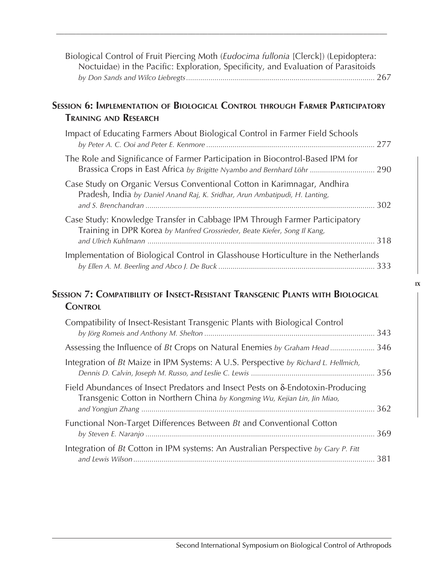| Biological Control of Fruit Piercing Moth (Eudocima fullonia [Clerck]) (Lepidoptera:<br>Noctuidae) in the Pacific: Exploration, Specificity, and Evaluation of Parasitoids |     |
|----------------------------------------------------------------------------------------------------------------------------------------------------------------------------|-----|
| Session 6: Implementation of Biological Control through Farmer Participatory<br><b>TRAINING AND RESEARCH</b>                                                               |     |
| Impact of Educating Farmers About Biological Control in Farmer Field Schools                                                                                               |     |
| The Role and Significance of Farmer Participation in Biocontrol-Based IPM for<br>Brassica Crops in East Africa by Brigitte Nyambo and Bernhard Löhr  290                   |     |
| Case Study on Organic Versus Conventional Cotton in Karimnagar, Andhira<br>Pradesh, India by Daniel Anand Raj, K. Sridhar, Arun Ambatipudi, H. Lanting,                    |     |
| Case Study: Knowledge Transfer in Cabbage IPM Through Farmer Participatory<br>Training in DPR Korea by Manfred Grossrieder, Beate Kiefer, Song Il Kang,                    |     |
| Implementation of Biological Control in Glasshouse Horticulture in the Netherlands                                                                                         |     |
| Session 7: Compatibility of Insect-Resistant Transgenic Plants with Biological<br><b>CONTROL</b>                                                                           |     |
| Compatibility of Insect-Resistant Transgenic Plants with Biological Control                                                                                                |     |
| Assessing the Influence of Bt Crops on Natural Enemies by Graham Head 346                                                                                                  |     |
| Integration of Bt Maize in IPM Systems: A U.S. Perspective by Richard L. Hellmich,                                                                                         |     |
| Field Abundances of Insect Predators and Insect Pests on $\delta$ -Endotoxin-Producing<br>Transgenic Cotton in Northern China by Kongming Wu, Kejian Lin, Jin Miao,        |     |
| Functional Non-Target Differences Between Bt and Conventional Cotton                                                                                                       |     |
| Integration of Bt Cotton in IPM systems: An Australian Perspective by Gary P. Fitt                                                                                         | 381 |

*\_\_\_\_\_\_\_\_\_\_\_\_\_\_\_\_\_\_\_\_\_\_\_\_\_\_\_\_\_\_\_\_\_\_\_\_\_\_\_\_\_\_\_\_\_\_\_\_\_\_\_\_\_\_\_\_\_\_\_\_\_\_\_\_\_\_\_\_\_\_\_\_\_\_\_\_\_\_\_\_\_\_\_*

**IX**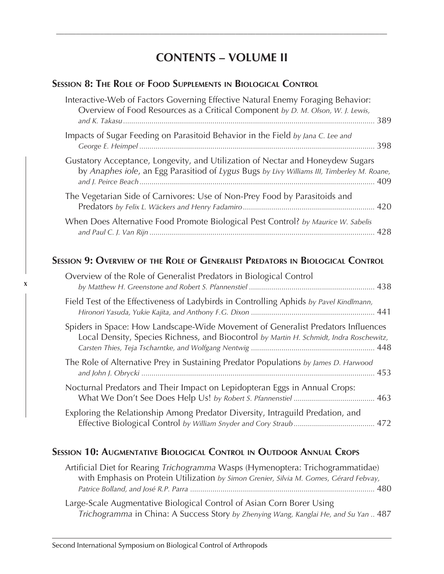# **CONTENTS – VOLUME II**

*\_\_\_\_\_\_\_\_\_\_\_\_\_\_\_\_\_\_\_\_\_\_\_\_\_\_\_\_\_\_\_\_\_\_\_\_\_\_\_\_\_\_\_\_\_\_\_\_\_\_\_\_\_\_\_\_\_\_\_\_\_\_\_\_\_\_\_\_\_\_\_\_\_\_\_\_\_\_\_\_\_\_\_*

# **SESSION 8: THE ROLE OF FOOD SUPPLEMENTS IN BIOLOGICAL CONTROL**

| Interactive-Web of Factors Governing Effective Natural Enemy Foraging Behavior:<br>Overview of Food Resources as a Critical Component by D. M. Olson, W. J. Lewis,           |  |
|------------------------------------------------------------------------------------------------------------------------------------------------------------------------------|--|
| Impacts of Sugar Feeding on Parasitoid Behavior in the Field by Jana C. Lee and                                                                                              |  |
| Gustatory Acceptance, Longevity, and Utilization of Nectar and Honeydew Sugars<br>by Anaphes iole, an Egg Parasitiod of Lygus Bugs by Livy Williams III, Timberley M. Roane, |  |
| The Vegetarian Side of Carnivores: Use of Non-Prey Food by Parasitoids and                                                                                                   |  |
| When Does Alternative Food Promote Biological Pest Control? by Maurice W. Sabelis                                                                                            |  |

# **SESSION 9: OVERVIEW OF THE ROLE OF GENERALIST PREDATORS IN BIOLOGICAL CONTROL**

| Overview of the Role of Generalist Predators in Biological Control                                                                                                          |
|-----------------------------------------------------------------------------------------------------------------------------------------------------------------------------|
| Field Test of the Effectiveness of Ladybirds in Controlling Aphids by Pavel Kindlmann,                                                                                      |
| Spiders in Space: How Landscape-Wide Movement of Generalist Predators Influences<br>Local Density, Species Richness, and Biocontrol by Martin H. Schmidt, Indra Roschewitz, |
| The Role of Alternative Prey in Sustaining Predator Populations by James D. Harwood                                                                                         |
| Nocturnal Predators and Their Impact on Lepidopteran Eggs in Annual Crops:                                                                                                  |
| Exploring the Relationship Among Predator Diversity, Intraguild Predation, and                                                                                              |

# **SESSION 10: AUGMENTATIVE BIOLOGICAL CONTROL IN OUTDOOR ANNUAL CROPS**

| Artificial Diet for Rearing Trichogramma Wasps (Hymenoptera: Trichogrammatidae)        |
|----------------------------------------------------------------------------------------|
| with Emphasis on Protein Utilization by Simon Grenier, Silvia M. Gomes, Gérard Febvay, |
|                                                                                        |

Large-Scale Augmentative Biological Control of Asian Corn Borer Using *Trichogramma* in China: A Success Story *by Zhenying Wang, Kanglai He, and Su Yan ..* 487

**X**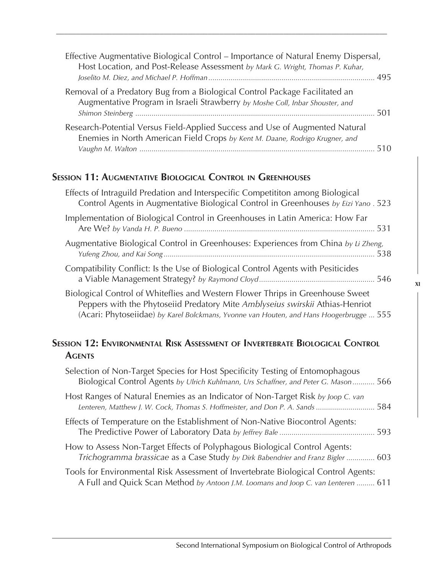| Effective Augmentative Biological Control – Importance of Natural Enemy Dispersal,<br>Host Location, and Post-Release Assessment by Mark G. Wright, Thomas P. Kuhar, |      |
|----------------------------------------------------------------------------------------------------------------------------------------------------------------------|------|
| Removal of a Predatory Bug from a Biological Control Package Facilitated an<br>Augmentative Program in Israeli Strawberry by Moshe Coll, Inbar Shouster, and         | -501 |
| Research-Potential Versus Field-Applied Success and Use of Augmented Natural<br>Enemies in North American Field Crops by Kent M. Daane, Rodrigo Krugner, and         | 510  |

*\_\_\_\_\_\_\_\_\_\_\_\_\_\_\_\_\_\_\_\_\_\_\_\_\_\_\_\_\_\_\_\_\_\_\_\_\_\_\_\_\_\_\_\_\_\_\_\_\_\_\_\_\_\_\_\_\_\_\_\_\_\_\_\_\_\_\_\_\_\_\_\_\_\_\_\_\_\_\_\_\_\_\_*

# **SESSION 11: AUGMENTATIVE BIOLOGICAL CONTROL IN GREENHOUSES**

| Effects of Intraguild Predation and Interspecific Competititon among Biological<br>Control Agents in Augmentative Biological Control in Greenhouses by Eizi Yano . 523                                                                                     |
|------------------------------------------------------------------------------------------------------------------------------------------------------------------------------------------------------------------------------------------------------------|
| Implementation of Biological Control in Greenhouses in Latin America: How Far                                                                                                                                                                              |
| Augmentative Biological Control in Greenhouses: Experiences from China by Li Zheng,                                                                                                                                                                        |
| Compatibility Conflict: Is the Use of Biological Control Agents with Pesiticides                                                                                                                                                                           |
| Biological Control of Whiteflies and Western Flower Thrips in Greenhouse Sweet<br>Peppers with the Phytoseiid Predatory Mite Amblyseius swirskii Athias-Henriot<br>(Acari: Phytoseiidae) by Karel Bolckmans, Yvonne van Houten, and Hans Hoogerbrugge  555 |

# **SESSION 12: ENVIRONMENTAL RISK ASSESSMENT OF INVERTEBRATE BIOLOGICAL CONTROL AGENTS**

| Selection of Non-Target Species for Host Specificity Testing of Entomophagous<br>Biological Control Agents by Ulrich Kuhlmann, Urs Schaffner, and Peter G. Mason 566    |
|-------------------------------------------------------------------------------------------------------------------------------------------------------------------------|
| Host Ranges of Natural Enemies as an Indicator of Non-Target Risk by Joop C. van<br>Lenteren, Matthew J. W. Cock, Thomas S. Hoffmeister, and Don P. A. Sands  584       |
| Effects of Temperature on the Establishment of Non-Native Biocontrol Agents:                                                                                            |
| How to Assess Non-Target Effects of Polyphagous Biological Control Agents:<br>Trichogramma brassicae as a Case Study by Dirk Babendrier and Franz Bigler  603           |
| Tools for Environmental Risk Assessment of Invertebrate Biological Control Agents:<br>A Full and Quick Scan Method by Antoon J.M. Loomans and Joop C. van Lenteren  611 |

**XI**